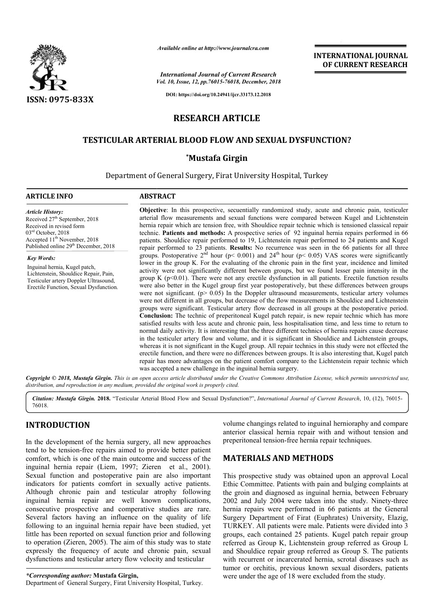

*Available online at http://www.journalcra.com*

*Vol. 10, Issue, 12, pp.76015-76018, December, 2018 International Journal of Current Research*

**INTERNATIONAL JOURNAL OF CURRENT RESEARCH**

**DOI: https://doi.org/10.24941/ijcr.33173.12.2018**

# **RESEARCH ARTICLE**

## **TESTICULAR ARTERIAL BLOOD FLOW AND SEXUAL DYSFUNCTION? TESTICULAR FLOW AND**

## **\*Mustafa Girgin**

Department of General Surgery, Firat University Hospital, Turkey Hospital, Turkey

#### **ARTICLE INFO ABSTRACT**

*Article History:* Received 27<sup>th</sup> September, 2018 Received in revised form 03rd October, 2018 Accepted  $11^{th}$  November, 2018 Published online 29<sup>th</sup> December, 2018

*Key Words:* Inguinal hernia, Kugel patch, Lichtenstein, Shouldice Repair, Pain, Testiculer artery Doppler Ultrasound, Erectile Function, Sexual Dysfunction.

**Objective** : In this prospective, secuentially randomized study, acute and chronic pain, testiculer arterial flow measurements and sexual functions were compared between Kugel and Lichtenstein hernia repair which are tension free, with Shouldice repair technic which is tensioned classical repair technic. **Patients and methods:** A prospective series of 92 inguinal hernia repairs performed in 66 patients. Shouldice repair performed to 19, Lichtenstein repair performed to 24 patients and Kugel repair performed to 23 patients. Results: No recurrence was seen in the 66 patients for all three groups. Postoperative  $2^{nd}$  hour (p< 0.001) and  $24^{th}$  hour (p< 0.05) VAS scores were significantly technic. **Patients and methods:** A prospective series of 92 inguinal hernia repairs performed in 66 patients. Shouldice repair performed to 19, Lichtenstein repair performed to 24 patients and Kugel repair performed to 23 activity were not significantly different between groups, but we found lesser pain intensity in the group K  $(p<0.01)$ . There were not any erectile dysfunction in all patients. Erectile function results were also better in the Kugel group first year postoperatively, but these differences between groups were not significant. ( $p > 0.05$ ) In the Doppler ultrasound measurements, testicular artery volumes were not different in all groups, but decrease of the flow measurements in Shouldice and Lichtenstei groups were significant. Testicular artery flow decreased in all groups at the postoperative period. **Conclusion:**  The technic of preperitoneal Kugel patch repair, is new repair technic which has more satisfied results with less acute and chronic pain, less hospitalisation time, and less time to return to normal daily activity. It is interesting that the three different technics of hernia repairs cause decrease in the testiculer artery flow and volume, and it is significant in Shouldice and Lichtenstein groups, whereas it is not significant in the Kugel group. All repair technics in this study were not effected the erectile function, and there were no differences between groups. It is also interesting that, Kugel patch repair has more advantages on the patient comfort compare to the Lichtenstein repair technic which was accepted a new challenge in the inguinal hernia surgery. **Objective**: In this prospective, secuentially randomized study, acute and chronic pain, testiculer arterial flow measurements and sexual functions were compared between Kugel and Lichtenstein hernia repair which are tensi activity were not significantly different between groups, but we found lesser pain intensity in the group K (p<0.01). There were not any erectile dysfunction in all patients. Erectile function results were also better in t groups were significant. Testicular artery flow decreased in all groups at the postoperative period. **Conclusion:** The technic of preperitoneal Kugel patch repair, is new repair technic which has more satisfied results wit whereas it is not significant in the Kugel group. All repair technics in this study were not effected the erectile function, and there were no differences between groups. It is also interesting that, Kugel patch repair has INTERNATIONAL JOURNAL<br>
FIRENCIA CONTREMENT RESEARCH<br>
SCROPED TREAT (SURFART RESEARCH<br>
FOR CURRENT RESEARCH<br>
FOR COURRENT RESEARCH<br>
FOR COURRENT RESEARCH<br>
TICLE<br>
AND SEXUAL DYSFUNCTION?<br>
TINUSTRY Hospital Turning regards b

Copyright © 2018, Mustafa Girgin. This is an open access article distributed under the Creative Commons Attribution License, which permits unrestricted use, *distribution, and reproduction in any medium, provided the original work is properly cited.*

Citation: Mustafa Girgin. 2018. "Testicular Arterial Blood Flow and Sexual Dysfunction?", International Journal of Current Research, 10, (12), 76015-76018.

# **INTRODUCTION**

In the development of the hernia surgery, all new approaches tend to be tension-free repairs aimed to provide better patient comfort, which is one of the main outcome and success of the tend to be tension-free repairs aimed to provide better patient comfort, which is one of the main outcome and success of the inguinal hernia repair (Liem, 1997; Zieren et al., 2001). Sexual function and postoperative pain are also important indicators for patients comfort in sexually active patients. Although chronic pain and testicular atrophy follow following inguinal hernia repair are well known complications, consecutive prospective and comperative studies are rare. Several factors having an influence on the quality of life following to an inguinal hernia repair have been studied, yet little has been reported on sexual function prior and following to operation (Zieren, 2005). The aim of this study was to state expressly the frequency of acute and chronic pain, sexual dysfunctions and testicular artery flow velocity and testicular rted on sexual function prior and followin, 2005). The aim of this study was to st<br>uency of acute and chronic pain, sexualizative of acute and chronic pain, sexualizative and the sticular<br>nor: **Mustafa Girgin**, al Surgery,

*\*Corresponding author:* **Mustafa Girgin,**

Department of General Surgery, Firat University Hospital, Turkey

volume changings related to inguinal hernioraphy and compare anterior classical hernia repair with and without tension and preperitoneal tension-free hernia repair volume changings related to inguinal hernioraphy and compare anterior classical hernia repair with and without tension and preperitoneal tension-free hernia repair techniques.

### **MATERIALS AND METHODS METHODS**

This prospective study was obtained upon an approval Local Ethic Committee. Patients with pain and bulging complaints at the groin and diagnosed as inguinal hernia, between February This prospective study was obtained upon an approval Local<br>Ethic Committee. Patients with pain and bulging complaints at<br>the groin and diagnosed as inguinal hernia, between February<br>2002 and July 2004 were taken into the s hernia repairs were performed in 66 patients at the General Surgery Department of Firat (Euphrates) University, Elazig, TURKEY. All patients were male. Patients were divided into 3 hernia repairs were performed in 66 patients at the General<br>Surgery Department of Firat (Euphrates) University, Elazig,<br>TURKEY. All patients were male. Patients were divided into 3<br>groups, each contained 25 patients. Kugel referred as Group K, Lichtenstein group referred as Group L and Shouldice repair group referred as Group S. The patients with recurrent or incarcerated hernia, scrotal diseases such as tumor or orchitis, previous known sexual disorders, patients were under the age of 18 were excluded from the study.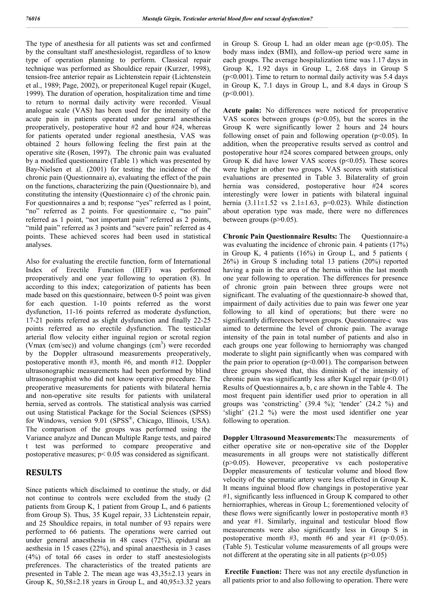The type of anesthesia for all patients was set and confirmed by the consultant staff anesthesiologist, regardless of to know type of operation planning to perform. Classical repair technique was performed as Shouldice repair (Kurzer, 1998), tension-free anterior repair as Lichtenstein repair (Lichtenstein et al., 1989; Page, 2002), or preperitoneal Kugel repair (Kugel, 1999). The duration of operation, hospitalization time and time to return to normal daily activity were recorded. Visual analogue scale (VAS) has been used for the intensity of the acute pain in patients operated under general anesthesia preoperatively, postoperative hour #2 and hour #24, whereas for patients operated under regional anesthesia, VAS was obtained 2 hours following feeling the first pain at the operative site (Rosen, 1997). The chronic pain was evaluated by a modified questionnaire (Table 1) which was presented by Bay-Nielsen et al. (2001) for testing the incidence of the chronic pain (Questionnaire a), evaluating the effect of the pain on the functions, characterizing the pain (Questionnaire b), and constituting the intensity (Questionnaire c) of the chronic pain. For questionnaires a and b; response "yes" referred as 1 point, "no" referred as 2 points. For questionnaire c, "no pain" referred as 1 point, "not important pain" referred as 2 points, "mild pain" referred as 3 points and "severe pain" referred as 4 points. These achieved scores had been used in statistical analyses.

Also for evaluating the erectile function, form of International Index of Erectile Function (IIEF) was performed preoperatively and one year following to operation (8). In according to this index; categorization of patients has been made based on this questionnaire, between 0-5 point was given for each question. 1-10 points referred as the worst dysfunction, 11-16 points referred as moderate dysfunction, 17-21 points referred as slight dysfunction and finally 22-25 points referred as no erectile dysfunction. The testicular arterial flow velocity either inguinal region or scrotal region (Vmax (cm/sec)) and volume changings  $(cm<sup>3</sup>)$  were recorded by the Doppler ultrasound measurements preoperatively, postoperative month #3, month #6, and month #12. Doppler ultrasonographic measurements had been performed by blind ultrasonographist who did not know operative procedure. The preoperative measurements for patients with bilateral hernia and non-operative site results for patients with unilateral hernia, served as controls. The statistical analysis was carried out using Statistical Package for the Social Sciences (SPSS) for Windows, version 9.01 (SPSS®, Chicago, Illinois, USA). The comparison of the groups was performed using the Variance analyze and Duncan Multiple Range tests, and paired t test was performed to compare preoperative and postoperative measures; p< 0.05 was considered as significant.

#### **RESULTS**

Since patients which disclaimed to continue the study, or did not continue to controls were excluded from the study (2 patients from Group K, 1 patient from Group L, and 6 patients from Group S). Thus, 35 Kugel repair, 33 Lichtenstein repair, and 25 Shouldice repairs, in total number of 93 repairs were performed to 66 patients. The operations were carried out under general anaesthesia in 48 cases (72%), epidural an aesthesia in 15 cases (22%), and spinal anaesthesia in 3 cases (4%) of total 66 cases in order to staff anestesiologists preferences. The characteristics of the treated patients are presented in Table 2. The mean age was 43,35±2.13 years in Group K,  $50,58\pm2.18$  years in Group L, and  $40,95\pm3.32$  years

in Group S. Group L had an older mean age  $(p<0.05)$ . The body mass index (BMI), and follow-up period were same in each groups. The average hospitalization time was 1.17 days in Group K, 1.92 days in Group L, 2.68 days in Group S  $(p<0.001)$ . Time to return to normal daily activity was 5.4 days in Group K, 7.1 days in Group L, and 8.4 days in Group S  $(p<0.001)$ .

**Acute pain:** No differences were noticed for preoperative VAS scores between groups (p>0.05), but the scores in the Group K were significantly lower 2 hours and 24 hours following onset of pain and following operation  $(p<0.05)$ . In addition, when the preoperative results served as control and postoperative hour #24 scores compared between groups, only Group K did have lower VAS scores ( $p<0.05$ ). These scores were higher in other two groups. VAS scores with statistical evaluations are presented in Table 3. Bilaterality of groin hernia was considered, postoperative hour #24 scores interestingly were lower in patients with bilateral inguinal hernia  $(3.11 \pm 1.52 \text{ vs } 2.1 \pm 1.63, \text{ p=0.023}).$  While distinction about operation type was made, there were no differences between groups  $(p>0.05)$ .

**Chronic Pain Questionnaire Results:** The Questionnaire-a was evaluating the incidence of chronic pain. 4 patients (17%) in Group K, 4 patients (16%) in Group L, and 5 patients ( 26%) in Group S including total 13 patiens (20%) reported having a pain in the area of the hernia within the last month one year following to operation. The differences for presence of chronic groin pain between three groups were not significant. The evaluating of the questionnaire-b showed that, impairment of daily activities due to pain was fewer one year following to all kind of operations; but there were no significantly differences between groups. Questionnaire-c was aimed to determine the level of chronic pain. The avarage intensity of the pain in total number of patients and also in each groups one year following to herniorraphy was changed moderate to slight pain significantly when was compared with the pain prior to operation  $(p<0.001)$ . The comparison between three groups showed that, this diminish of the intensity of chronic pain was significantly less after Kugel repair  $(p<0.01)$ Results of Questionnaires a, b, c are shown in the Table 4. The most frequent pain identifier used prior to operation in all groups was 'constricting' (39.4 %); 'tender' (24.2 %) and 'slight' (21.2 %) were the most used identifier one year following to operation.

**Doppler Ultrasound Measurements:**The measurements of either operative site or non-operative site of the Doppler measurements in all groups were not statistically different (p>0.05). However, preoperative vs each postoperative Doppler measurements of testicular volume and blood flow velocity of the spermatic artery were less effected in Group K. It means inguinal blood flow changings in postoperative year #1, significantly less influenced in Group K compared to other herniorraphies, whereas in Group L; forementioned velocity of these flows were significantly lower in postoperative month #3 and year #1. Similarly, inguinal and testicular blood flow measurements were also significantly less in Group S in postoperative month #3, month #6 and year #1 ( $p<0.05$ ). (Table 5). Testicular volume measurements of all groups were not different at the operating site in all patients  $(p>0.05)$ 

**Erectile Function:** There was not any erectile dysfunction in all patients prior to and also following to operation. There were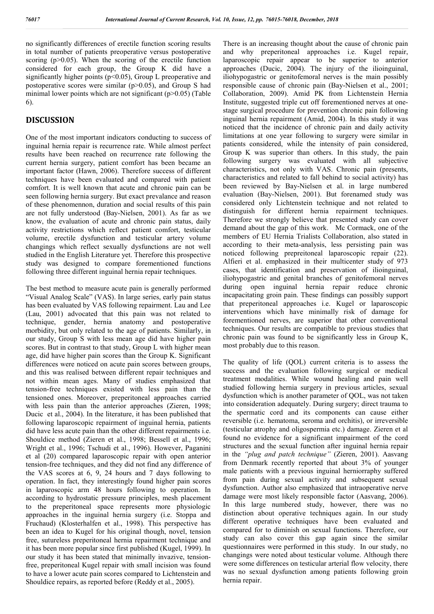no significantly differences of erectile function scoring results in total number of patients preoperative versus postoperative scoring  $(p>0.05)$ . When the scoring of the erectile function considered for each group, the Group K did have a significantly higher points ( $p<0.05$ ), Group L preoperative and postoperative scores were similar  $(p>0.05)$ , and Group S had minimal lower points which are not significant (p>0.05) (Table 6).

### **DISCUSSION**

One of the most important indicators conducting to success of inguinal hernia repair is recurrence rate. While almost perfect results have been reached on recurrence rate following the current hernia surgery, patient comfort has been became an important factor (Hawn, 2006). Therefore success of different techniques have been evaluated and compared with patient comfort. It is well known that acute and chronic pain can be seen following hernia surgery. But exact prevalance and reason of these phenomennon, duration and social results of this pain are not fully understood (Bay-Nielsen, 2001). As far as we know, the evaluation of acute and chronic pain status, daily activity restrictions which reflect patient comfort, testicular volume, erectile dysfunction and testicular artery volume changings which reflect sexually dysfunctions are not well studied in the English Literature yet. Therefore this prospective study was designed to compare forementioned functions following three different inguinal hernia repair techniques.

The best method to measure acute pain is generally performed "Visual Analog Scale" (VAS). In large series, early pain status has been evaluated by VAS following repairment. Lau and Lee (Lau, 2001) advocated that this pain was not related to technique, gender, hernia anatomy and postoperative morbidity, but only related to the age of patients. Similarly, in our study, Group S with less mean age did have higher pain scores. But in contrast to that study, Group L with higher mean age, did have higher pain scores than the Group K. Significant differences were noticed on acute pain scores between groups, and this was realised between different repair techniques and not within mean ages. Many of studies emphasized that tension-free techniques existed with less pain than the tensioned ones. Moreover, preperitoneal approaches carried with less pain than the anterior approaches (Zieren, 1998; Ducic et al., 2004). In the literature, it has been published that following laparoscopic repairment of inguinal hernia, patients did have less acute pain than the other different repairments i.e. Shouldice method (Zieren et al., 1998; Bessell et al., 1996; Wright et al., 1996; Tschudi et al., 1996). However, Paganini et al (20) compared laparoscopic repair with open anterior tension-free techniques, and they did not find any difference of the VAS scores at 6, 9, 24 hours and 7 days following to operation. In fact, they interestingly found higher pain scores in laparoscopic arm 48 hours following to operation. In according to hydrostatic pressure principles, mesh placement to the preperitoneal space represents more physiologic approaches in the inguinal hernia surgery (i.e. Stoppa and Fruchaud) (Klosterhalfen et al., 1998). This perspective has been an idea to Kugel for his original though, novel, tension free, sutureless preperitoneal hernia repairment technique and it has been more popular since first published (Kugel, 1999). In our study it has been stated that minimally invazive, tensionfree, preperitoneal Kugel repair with small incision was found to have a lower acute pain scores compared to Lichtenstein and Shouldice repairs, as reported before (Reddy et al., 2005).

There is an increasing thought about the cause of chronic pain and why preperitoneal approaches i.e. Kugel repair, laparoscopic repair appear to be superior to anterior approaches (Ducic, 2004). The injury of the ilioinguinal, iliohypogastric or genitofemoral nerves is the main possibly responsible cause of chronic pain (Bay-Nielsen et al., 2001; Collaboration, 2009). Amid PK from Lichtenstein Hernia Institute, suggested triple cut off forementioned nerves at onestage surgical procedure for prevention chronic pain following inguinal hernia repairment (Amid, 2004). In this study it was noticed that the incidence of chronic pain and daily activity limitations at one year following to surgery were similar in patients considered, while the intensity of pain considered, Group K was superior than others. In this study, the pain following surgery was evaluated with all subjective characteristics, not only with VAS. Chronic pain (presents, characteristics and related to fall behind to social activity) has been reviewed by Bay-Nielsen et al. in large numbered evaluation (Bay-Nielsen, 2001). But forenamed study was considered only Lichtenstein technique and not related to distinguish for different hernia repairment techniques. Therefore we strongly believe that presented study can cover demand about the gap of this work. Mc Cormack, one of the members of EU Hernia Trialists Collaboration, also stated in according to their meta-analysis, less persisting pain was noticed following prepreitoneal laparoscopic repair (22). Alfieri et al. emphasized in their multicenter study of 973 cases, that identification and preservation of ilioinguinal, iliohypogastric and genital branches of genitofemoral nerves during open inguinal hernia repair reduce chronic incapacitating groin pain. These findings can possibly support that preperitoneal approaches i.e. Kugel or laparoscopic interventions which have minimally risk of damage for forementioned nerves, are superior that other conventional techniques. Our results are compatible to previous studies that chronic pain was found to be significantly less in Group K, most probably due to this reason.

The quality of life (QOL) current criteria is to assess the success and the evaluation following surgical or medical treatment modalities. While wound healing and pain well studied following hernia surgery in previous articles, sexual dysfunction which is another parameter of QOL, was not taken into consideration adequately. During surgery; direct trauma to the spermatic cord and its components can cause either reversible (i.e. hematoma, seroma and orchitis), or irreversible (testicular atrophy and oligospermia etc.) damage. Zieren et al found no evidence for a significant impairment of the cord structures and the sexual function after inguinal hernia repair in the *"plug and patch technique"* (Zieren, 2001). Aasvang from Denmark recently reported that about 3% of younger male patients with a previous inguinal herniorraphy suffered from pain during sexual activity and subsequent sexual dysfunction. Author also emphasized that intraoperative nerve damage were most likely responsible factor (Aasvang, 2006). In this large numbered study, however, there was no distinction about operative techniques again. In our study different operative techniques have been evaluated and compared for to diminish on sexual functions. Therefore, our study can also cover this gap again since the similar questionnaires were performed in this study. In our study, no changings were noted about testicular volume. Although there were some differences on testicular arterial flow velocity, there was no sexual dysfunction among patients following groin hernia repair.